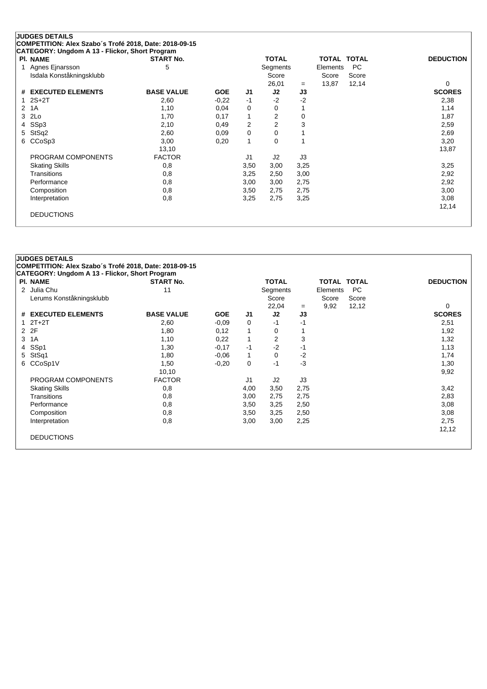| <b>PI. NAME</b>          | <b>START No.</b>  |            |                | <b>TOTAL</b>   |      | <b>TOTAL TOTAL</b> |           | <b>DEDUCTION</b> |
|--------------------------|-------------------|------------|----------------|----------------|------|--------------------|-----------|------------------|
| Agnes Ejnarsson<br>1     | 5                 |            |                | Segments       |      | Elements           | <b>PC</b> |                  |
| Isdala Konståkningsklubb |                   |            |                | Score          |      | Score              | Score     |                  |
|                          |                   |            |                | 26,01          | $=$  | 13,87              | 12,14     | 0                |
| # EXECUTED ELEMENTS      | <b>BASE VALUE</b> | <b>GOE</b> | J1             | J2             | J3   |                    |           | <b>SCORES</b>    |
| $2S+2T$                  | 2,60              | $-0,22$    | $-1$           | $-2$           | $-2$ |                    |           | 2,38             |
| 1A<br>2                  | 1,10              | 0,04       | 0              | 0              |      |                    |           | 1,14             |
| 2Lo<br>3                 | 1,70              | 0,17       | $\mathbf{1}$   | $\overline{2}$ | 0    |                    |           | 1,87             |
| SSp3<br>4                | 2,10              | 0,49       | $\overline{2}$ | $\overline{2}$ | 3    |                    |           | 2,59             |
| StSq2<br>5.              | 2,60              | 0,09       | 0              | $\Omega$       |      |                    |           | 2,69             |
| CCoSp3<br>6              | 3,00              | 0,20       | $\mathbf{1}$   | 0              |      |                    |           | 3,20             |
|                          | 13,10             |            |                |                |      |                    |           | 13,87            |
| PROGRAM COMPONENTS       | <b>FACTOR</b>     |            | J <sub>1</sub> | J2             | J3   |                    |           |                  |
| <b>Skating Skills</b>    | 0,8               |            | 3,50           | 3,00           | 3,25 |                    |           | 3,25             |
| Transitions              | 0,8               |            | 3,25           | 2,50           | 3,00 |                    |           | 2,92             |
| Performance              | 0,8               |            | 3,00           | 3,00           | 2,75 |                    |           | 2,92             |
| Composition              | 0,8               |            | 3,50           | 2,75           | 2,75 |                    |           | 3,00             |
| Interpretation           | 0,8               |            | 3,25           | 2,75           | 3,25 |                    |           | 3,08             |
|                          |                   |            |                |                |      |                    |           | 12,14            |

| <b>PI. NAME</b>          | <b>START No.</b>  |            |      | <b>TOTAL</b>   |      | <b>TOTAL TOTAL</b> |       | <b>DEDUCTION</b> |
|--------------------------|-------------------|------------|------|----------------|------|--------------------|-------|------------------|
| 2 Julia Chu              | 11                |            |      | Segments       |      | Elements           | PC.   |                  |
| Lerums Konståkningsklubb |                   |            |      | Score          |      | Score              | Score |                  |
|                          |                   |            |      | 22,04          | $=$  | 9,92               | 12,12 | 0                |
| # EXECUTED ELEMENTS      | <b>BASE VALUE</b> | <b>GOE</b> | J1   | J2             | J3   |                    |       | <b>SCORES</b>    |
| $2T+2T$<br>1             | 2,60              | $-0.09$    | 0    | -1             | -1   |                    |       | 2,51             |
| 2 2F                     | 1,80              | 0,12       | 1    | 0              |      |                    |       | 1,92             |
| 1A<br>3                  | 1,10              | 0,22       | 1    | 2              | 3    |                    |       | 1,32             |
| SSp1<br>4                | 1,30              | $-0,17$    | $-1$ | $-2$           | -1   |                    |       | 1,13             |
| StSq1<br>5               | 1,80              | $-0.06$    | 1    | $\Omega$       | $-2$ |                    |       | 1,74             |
| 6 CCoSp1V                | 1,50              | $-0,20$    | 0    | -1             | $-3$ |                    |       | 1,30             |
|                          | 10,10             |            |      |                |      |                    |       | 9,92             |
| PROGRAM COMPONENTS       | <b>FACTOR</b>     |            | J1   | J <sub>2</sub> | J3   |                    |       |                  |
| <b>Skating Skills</b>    | 0,8               |            | 4,00 | 3,50           | 2,75 |                    |       | 3,42             |
| Transitions              | 0,8               |            | 3,00 | 2,75           | 2,75 |                    |       | 2,83             |
| Performance              | 0,8               |            | 3,50 | 3,25           | 2,50 |                    |       | 3,08             |
| Composition              | 0,8               |            | 3,50 | 3,25           | 2,50 |                    |       | 3,08             |
| Interpretation           | 0,8               |            | 3,00 | 3,00           | 2,25 |                    |       | 2,75             |
|                          |                   |            |      |                |      |                    |       | 12,12            |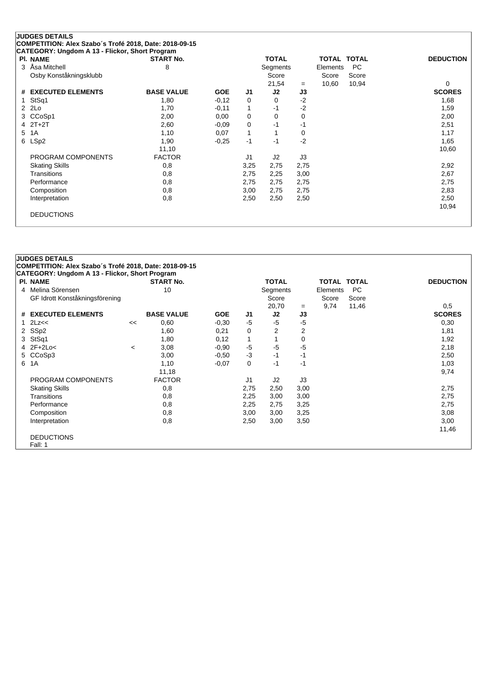| <b>PI. NAME</b>        | <b>START No.</b>  |            |              | <b>TOTAL</b>   |      | <b>TOTAL</b> | <b>TOTAL</b> | <b>DEDUCTION</b> |
|------------------------|-------------------|------------|--------------|----------------|------|--------------|--------------|------------------|
| Åsa Mitchell<br>3      | 8                 |            |              | Segments       |      | Elements     | <b>PC</b>    |                  |
| Osby Konståkningsklubb |                   |            |              | Score          |      | Score        | Score        |                  |
|                        |                   |            |              | 21,54          | $=$  | 10,60        | 10,94        | 0                |
| # EXECUTED ELEMENTS    | <b>BASE VALUE</b> | <b>GOE</b> | J1           | J2             | J3   |              |              | <b>SCORES</b>    |
| StSq1                  | 1,80              | $-0,12$    | 0            | 0              | $-2$ |              |              | 1,68             |
| 2 2Lo                  | 1,70              | $-0,11$    | $\mathbf 1$  | -1             | $-2$ |              |              | 1,59             |
| 3 CCoSp1               | 2,00              | 0,00       | 0            | 0              | 0    |              |              | 2,00             |
| $2T+2T$<br>4           | 2,60              | $-0.09$    | 0            | $-1$           | -1   |              |              | 2,51             |
| 1A<br>5                | 1,10              | 0,07       | $\mathbf{1}$ |                | 0    |              |              | 1,17             |
| LSp2<br>6              | 1,90              | $-0.25$    | $-1$         | -1             | $-2$ |              |              | 1,65             |
|                        | 11,10             |            |              |                |      |              |              | 10,60            |
| PROGRAM COMPONENTS     | <b>FACTOR</b>     |            | J1           | J <sub>2</sub> | J3   |              |              |                  |
| <b>Skating Skills</b>  | 0,8               |            | 3,25         | 2,75           | 2,75 |              |              | 2,92             |
| Transitions            | 0,8               |            | 2,75         | 2,25           | 3,00 |              |              | 2,67             |
| Performance            | 0,8               |            | 2,75         | 2,75           | 2,75 |              |              | 2,75             |
| Composition            | 0,8               |            | 3,00         | 2,75           | 2,75 |              |              | 2,83             |
| Interpretation         | 0,8               |            | 2,50         | 2,50           | 2,50 |              |              | 2,50             |
|                        |                   |            |              |                |      |              |              | 10,94            |

|              | <b>JUDGES DETAILS</b>                                  |         |                   |            |                |                |                |                    |           |                  |
|--------------|--------------------------------------------------------|---------|-------------------|------------|----------------|----------------|----------------|--------------------|-----------|------------------|
|              | COMPETITION: Alex Szabo's Trofé 2018, Date: 2018-09-15 |         |                   |            |                |                |                |                    |           |                  |
|              | <b>CATEGORY: Ungdom A 13 - Flickor, Short Program</b>  |         |                   |            |                |                |                |                    |           |                  |
|              | <b>PI. NAME</b>                                        |         | <b>START No.</b>  |            |                | <b>TOTAL</b>   |                | <b>TOTAL TOTAL</b> |           | <b>DEDUCTION</b> |
|              | 4 Melina Sörensen                                      |         | 10                |            |                | Segments       |                | Elements           | <b>PC</b> |                  |
|              | GF Idrott Konståkningsförening                         |         |                   |            |                | Score          |                | Score              | Score     |                  |
|              |                                                        |         |                   |            |                | 20,70          | $=$            | 9,74               | 11,46     | 0.5              |
|              | # EXECUTED ELEMENTS                                    |         | <b>BASE VALUE</b> | <b>GOE</b> | J <sub>1</sub> | J2             | J3             |                    |           | <b>SCORES</b>    |
| $\mathbf{1}$ | 2Lz<<                                                  | <<      | 0,60              | $-0,30$    | $-5$           | $-5$           | $-5$           |                    |           | 0,30             |
| 2            | SSp2                                                   |         | 1,60              | 0,21       | 0              | $\overline{2}$ | $\overline{2}$ |                    |           | 1,81             |
| 3            | StSq1                                                  |         | 1,80              | 0,12       | $\mathbf{1}$   | 1              | 0              |                    |           | 1,92             |
|              | $4$ 2F+2Lo<                                            | $\,<\,$ | 3,08              | $-0.90$    | -5             | -5             | $-5$           |                    |           | 2,18             |
|              | 5 CCoSp3                                               |         | 3,00              | $-0.50$    | $-3$           | -1             | -1             |                    |           | 2,50             |
|              | 6 1A                                                   |         | 1,10              | $-0.07$    | 0              | -1             | -1             |                    |           | 1,03             |
|              |                                                        |         | 11,18             |            |                |                |                |                    |           | 9,74             |
|              | PROGRAM COMPONENTS                                     |         | <b>FACTOR</b>     |            | J1             | J2             | J3             |                    |           |                  |
|              | <b>Skating Skills</b>                                  |         | 0,8               |            | 2,75           | 2,50           | 3,00           |                    |           | 2,75             |
|              | <b>Transitions</b>                                     |         | 0,8               |            | 2,25           | 3,00           | 3,00           |                    |           | 2,75             |
|              | Performance                                            |         | 0,8               |            | 2,25           | 2,75           | 3,25           |                    |           | 2,75             |
|              | Composition                                            |         | 0,8               |            | 3,00           | 3,00           | 3,25           |                    |           | 3,08             |
|              | Interpretation                                         |         | 0,8               |            | 2,50           | 3,00           | 3,50           |                    |           | 3,00             |
|              |                                                        |         |                   |            |                |                |                |                    |           | 11,46            |
|              | <b>DEDUCTIONS</b>                                      |         |                   |            |                |                |                |                    |           |                  |
|              | Fall: 1                                                |         |                   |            |                |                |                |                    |           |                  |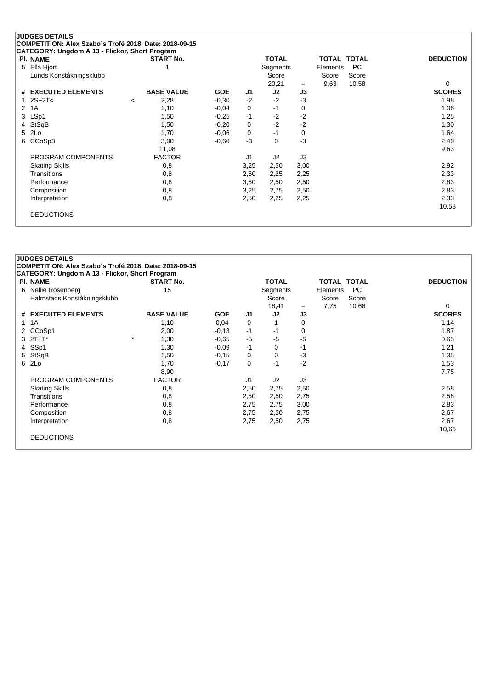| <b>PI. NAME</b>               |         | <b>START No.</b>  |            |                | <b>TOTAL</b> |      | <b>TOTAL</b> | <b>TOTAL</b> | <b>DEDUCTION</b> |
|-------------------------------|---------|-------------------|------------|----------------|--------------|------|--------------|--------------|------------------|
| Ella Hjort<br>5               |         |                   |            |                | Segments     |      | Elements     | <b>PC</b>    |                  |
| Lunds Konståkningsklubb       |         |                   |            |                | Score        |      | Score        | Score        |                  |
|                               |         |                   |            |                | 20,21        | $=$  | 9,63         | 10,58        | 0                |
| <b>EXECUTED ELEMENTS</b><br># |         | <b>BASE VALUE</b> | <b>GOE</b> | J1             | J2           | J3   |              |              | <b>SCORES</b>    |
| $2S+2T<$                      | $\,<\,$ | 2,28              | $-0,30$    | $-2$           | $-2$         | $-3$ |              |              | 1,98             |
| 1A<br>2                       |         | 1,10              | $-0.04$    | 0              | $-1$         | 0    |              |              | 1,06             |
| LSp1<br>3                     |         | 1,50              | $-0.25$    | $-1$           | $-2$         | $-2$ |              |              | 1,25             |
| StSqB<br>4                    |         | 1,50              | $-0,20$    | 0              | $-2$         | $-2$ |              |              | 1,30             |
| 2Lo<br>5                      |         | 1,70              | $-0.06$    | 0              | $-1$         | 0    |              |              | 1,64             |
| CCoSp3<br>6                   |         | 3,00              | $-0.60$    | $-3$           | 0            | -3   |              |              | 2,40             |
|                               |         | 11,08             |            |                |              |      |              |              | 9,63             |
| PROGRAM COMPONENTS            |         | <b>FACTOR</b>     |            | J <sub>1</sub> | J2           | J3   |              |              |                  |
| <b>Skating Skills</b>         |         | 0,8               |            | 3,25           | 2,50         | 3,00 |              |              | 2,92             |
| Transitions                   |         | 0,8               |            | 2,50           | 2,25         | 2,25 |              |              | 2,33             |
| Performance                   |         | 0,8               |            | 3,50           | 2,50         | 2,50 |              |              | 2,83             |
| Composition                   |         | 0,8               |            | 3,25           | 2,75         | 2,50 |              |              | 2,83             |
| Interpretation                |         | 0,8               |            | 2,50           | 2,25         | 2,25 |              |              | 2,33             |
|                               |         |                   |            |                |              |      |              |              | 10,58            |

| <b>PI. NAME</b>             | <b>START No.</b>  |            |                | <b>TOTAL</b> |      | TOTAL TOTAL |       | <b>DEDUCTION</b> |
|-----------------------------|-------------------|------------|----------------|--------------|------|-------------|-------|------------------|
| 6 Nellie Rosenberg          | 15                |            |                | Segments     |      | Elements    | PC.   |                  |
| Halmstads Konståkningsklubb |                   |            |                | Score        |      | Score       | Score |                  |
|                             |                   |            |                | 18,41        | $=$  | 7,75        | 10,66 | 0                |
| # EXECUTED ELEMENTS         | <b>BASE VALUE</b> | <b>GOE</b> | J1             | J2           | J3   |             |       | <b>SCORES</b>    |
| 1A<br>$\mathbf{1}$          | 1,10              | 0,04       | 0              |              | 0    |             |       | 1,14             |
| CCoSp1<br>2                 | 2,00              | $-0,13$    | $-1$           | -1           | 0    |             |       | 1,87             |
| $3 \t2T + T^*$              | $\star$<br>1,30   | $-0.65$    | $-5$           | $-5$         | $-5$ |             |       | 0.65             |
| SSp1<br>4                   | 1,30              | $-0.09$    | $-1$           | 0            | -1   |             |       | 1,21             |
| 5 StSqB                     | 1,50              | $-0,15$    | 0              | 0            | $-3$ |             |       | 1,35             |
| 6 2Lo                       | 1,70              | $-0,17$    | 0              | -1           | $-2$ |             |       | 1,53             |
|                             | 8,90              |            |                |              |      |             |       | 7,75             |
| PROGRAM COMPONENTS          | <b>FACTOR</b>     |            | J <sub>1</sub> | J2           | J3   |             |       |                  |
| <b>Skating Skills</b>       | 0,8               |            | 2,50           | 2,75         | 2,50 |             |       | 2,58             |
| Transitions                 | 0,8               |            | 2,50           | 2,50         | 2,75 |             |       | 2,58             |
| Performance                 | 0,8               |            | 2,75           | 2,75         | 3,00 |             |       | 2,83             |
| Composition                 | 0,8               |            | 2,75           | 2,50         | 2,75 |             |       | 2,67             |
| Interpretation              | 0,8               |            | 2,75           | 2,50         | 2,75 |             |       | 2,67             |
|                             |                   |            |                |              |      |             |       | 10,66            |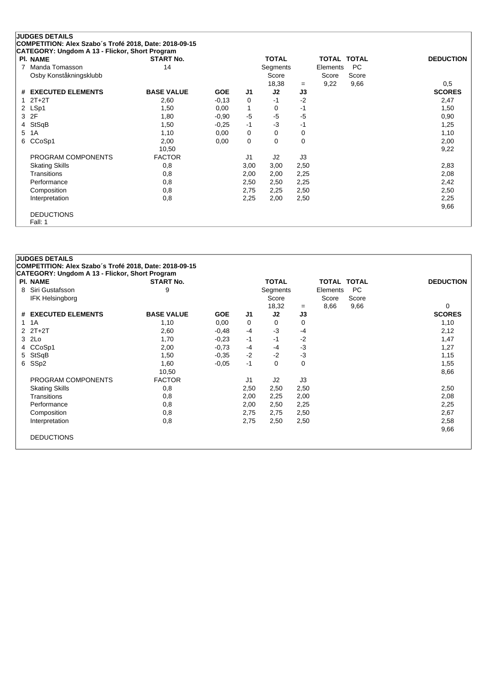|                      | <b>JUDGES DETAILS</b>                                  |                   |            |                |                |      |                    |       |                  |
|----------------------|--------------------------------------------------------|-------------------|------------|----------------|----------------|------|--------------------|-------|------------------|
|                      | COMPETITION: Alex Szabo's Trofé 2018, Date: 2018-09-15 |                   |            |                |                |      |                    |       |                  |
|                      | CATEGORY: Ungdom A 13 - Flickor, Short Program         |                   |            |                |                |      |                    |       |                  |
|                      | <b>PI. NAME</b>                                        | <b>START No.</b>  |            |                | <b>TOTAL</b>   |      | <b>TOTAL TOTAL</b> |       | <b>DEDUCTION</b> |
| 7                    | Manda Tomasson                                         | 14                |            |                | Segments       |      | Elements           | PC    |                  |
|                      | Osby Konståkningsklubb                                 |                   |            |                | Score          |      | Score              | Score |                  |
|                      |                                                        |                   |            |                | 18,38          | $=$  | 9,22               | 9,66  | 0,5              |
|                      | # EXECUTED ELEMENTS                                    | <b>BASE VALUE</b> | <b>GOE</b> | J1             | J2             | J3   |                    |       | <b>SCORES</b>    |
|                      | $2T+2T$                                                | 2,60              | $-0,13$    | 0              | $-1$           | $-2$ |                    |       | 2,47             |
| $\mathbf{2}^{\circ}$ | LSp1                                                   | 1,50              | 0,00       | 1              | 0              | -1   |                    |       | 1,50             |
| 3                    | 2F                                                     | 1,80              | $-0.90$    | $-5$           | $-5$           | $-5$ |                    |       | 0,90             |
| 4                    | StSqB                                                  | 1,50              | $-0,25$    | $-1$           | $-3$           | $-1$ |                    |       | 1,25             |
| 5                    | 1A                                                     | 1,10              | 0,00       | 0              | 0              | 0    |                    |       | 1,10             |
| 6                    | CCoSp1                                                 | 2,00              | 0,00       | 0              | 0              | 0    |                    |       | 2,00             |
|                      |                                                        | 10,50             |            |                |                |      |                    |       | 9,22             |
|                      | PROGRAM COMPONENTS                                     | <b>FACTOR</b>     |            | J <sub>1</sub> | J <sub>2</sub> | J3   |                    |       |                  |
|                      | <b>Skating Skills</b>                                  | 0,8               |            | 3,00           | 3,00           | 2,50 |                    |       | 2,83             |
|                      | Transitions                                            | 0,8               |            | 2,00           | 2,00           | 2,25 |                    |       | 2,08             |
|                      | Performance                                            | 0,8               |            | 2,50           | 2,50           | 2,25 |                    |       | 2,42             |
|                      | Composition                                            | 0,8               |            | 2,75           | 2,25           | 2,50 |                    |       | 2,50             |
|                      | Interpretation                                         | 0,8               |            | 2,25           | 2,00           | 2,50 |                    |       | 2,25             |
|                      |                                                        |                   |            |                |                |      |                    |       | 9,66             |
|                      | <b>DEDUCTIONS</b>                                      |                   |            |                |                |      |                    |       |                  |
|                      | Fall: 1                                                |                   |            |                |                |      |                    |       |                  |

| <b>PI. NAME</b>        | <b>START No.</b>  |            |                | <b>TOTAL</b> |             | <b>TOTAL TOTAL</b> |           | <b>DEDUCTION</b> |
|------------------------|-------------------|------------|----------------|--------------|-------------|--------------------|-----------|------------------|
| 8 Siri Gustafsson      | 9                 |            |                | Segments     |             | Elements           | <b>PC</b> |                  |
| <b>IFK Helsingborg</b> |                   |            |                | Score        |             | Score              | Score     |                  |
|                        |                   |            |                | 18,32        | $=$         | 8,66               | 9,66      | 0                |
| # EXECUTED ELEMENTS    | <b>BASE VALUE</b> | <b>GOE</b> | J <sub>1</sub> | J2           | J3          |                    |           | <b>SCORES</b>    |
| 1 1 A                  | 1,10              | 0,00       | 0              | 0            | 0           |                    |           | 1,10             |
| $2$ $2T+2T$            | 2,60              | $-0,48$    | $-4$           | $-3$         | -4          |                    |           | 2,12             |
| 3 2Lo                  | 1,70              | $-0.23$    | $-1$           | -1           | $-2$        |                    |           | 1,47             |
| CCoSp1<br>4            | 2,00              | $-0,73$    | -4             | -4           | $-3$        |                    |           | 1,27             |
| 5 StSqB                | 1,50              | $-0.35$    | $-2$           | $-2$         | $-3$        |                    |           | 1,15             |
| SSp2<br>6              | 1,60              | $-0.05$    | $-1$           | $\Omega$     | $\mathbf 0$ |                    |           | 1,55             |
|                        | 10,50             |            |                |              |             |                    |           | 8,66             |
| PROGRAM COMPONENTS     | <b>FACTOR</b>     |            | J1             | J2           | J3          |                    |           |                  |
| <b>Skating Skills</b>  | 0,8               |            | 2,50           | 2,50         | 2,50        |                    |           | 2,50             |
| Transitions            | 0,8               |            | 2,00           | 2,25         | 2,00        |                    |           | 2,08             |
| Performance            | 0,8               |            | 2,00           | 2,50         | 2,25        |                    |           | 2,25             |
| Composition            | 0,8               |            | 2,75           | 2,75         | 2,50        |                    |           | 2,67             |
| Interpretation         | 0,8               |            | 2,75           | 2,50         | 2,50        |                    |           | 2,58             |
|                        |                   |            |                |              |             |                    |           | 9,66             |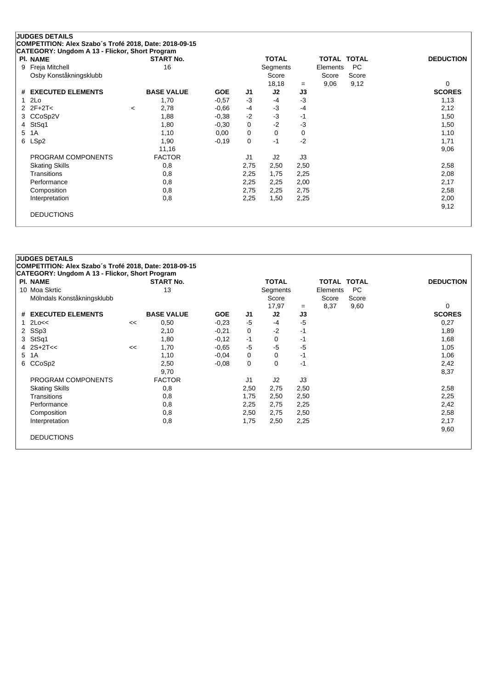| <b>PI. NAME</b>        | <b>START No.</b>  |            |                | <b>TOTAL</b> |      | TOTAL TOTAL |           | <b>DEDUCTION</b> |
|------------------------|-------------------|------------|----------------|--------------|------|-------------|-----------|------------------|
| Freja Mitchell<br>9    | 16                |            |                | Segments     |      | Elements    | <b>PC</b> |                  |
| Osby Konståkningsklubb |                   |            |                | Score        |      | Score       | Score     |                  |
|                        |                   |            |                | 18,18        | $=$  | 9,06        | 9,12      | 0                |
| # EXECUTED ELEMENTS    | <b>BASE VALUE</b> | <b>GOE</b> | J1             | J2           | J3   |             |           | <b>SCORES</b>    |
| 2Lo<br>1               | 1,70              | $-0.57$    | $-3$           | -4           | $-3$ |             |           | 1,13             |
| 2 $2F+2T<$             | 2,78<br>$\,<\,$   | $-0.66$    | -4             | $-3$         | $-4$ |             |           | 2,12             |
| 3 CCoSp2V              | 1,88              | $-0.38$    | $-2$           | $-3$         | $-1$ |             |           | 1,50             |
| StSq1<br>4             | 1,80              | $-0.30$    | 0              | $-2$         | $-3$ |             |           | 1,50             |
| 1A<br>5                | 1,10              | 0,00       | 0              | 0            | 0    |             |           | 1,10             |
| LSp2<br>6              | 1,90              | $-0,19$    | 0              | $-1$         | $-2$ |             |           | 1,71             |
|                        | 11,16             |            |                |              |      |             |           | 9,06             |
| PROGRAM COMPONENTS     | <b>FACTOR</b>     |            | J <sub>1</sub> | J2           | J3   |             |           |                  |
| <b>Skating Skills</b>  | 0,8               |            | 2,75           | 2,50         | 2,50 |             |           | 2,58             |
| Transitions            | 0,8               |            | 2,25           | 1,75         | 2,25 |             |           | 2,08             |
| Performance            | 0,8               |            | 2,25           | 2,25         | 2,00 |             |           | 2,17             |
| Composition            | 0,8               |            | 2,75           | 2,25         | 2,75 |             |           | 2,58             |
| Interpretation         | 0,8               |            | 2,25           | 1,50         | 2,25 |             |           | 2,00             |
|                        |                   |            |                |              |      |             |           | 9,12             |

| <b>PI. NAME</b>            |    | <b>START No.</b>  |            |                | <b>TOTAL</b>   |      | <b>TOTAL TOTAL</b> |           | <b>DEDUCTION</b> |
|----------------------------|----|-------------------|------------|----------------|----------------|------|--------------------|-----------|------------------|
| 10 Moa Skrtic              |    | 13                |            |                | Segments       |      | Elements           | <b>PC</b> |                  |
| Mölndals Konståkningsklubb |    |                   |            |                | Score          |      | Score              | Score     |                  |
|                            |    |                   |            |                | 17,97          | $=$  | 8,37               | 9,60      | 0                |
| # EXECUTED ELEMENTS        |    | <b>BASE VALUE</b> | <b>GOE</b> | J <sub>1</sub> | J2             | J3   |                    |           | <b>SCORES</b>    |
| $1$ $2$ Lo $\le$           | << | 0,50              | $-0.23$    | -5             | $-4$           | $-5$ |                    |           | 0,27             |
| 2 SSp3                     |    | 2,10              | $-0,21$    | 0              | $-2$           | $-1$ |                    |           | 1,89             |
| 3 StSq1                    |    | 1,80              | $-0,12$    | $-1$           | 0              | -1   |                    |           | 1,68             |
| 4 $2S+2T<<$                | << | 1,70              | $-0.65$    | $-5$           | $-5$           | $-5$ |                    |           | 1,05             |
| 5 1A                       |    | 1,10              | $-0.04$    | 0              | $\Omega$       | -1   |                    |           | 1,06             |
| CCoSp2<br>6                |    | 2,50              | $-0.08$    | 0              | $\mathbf 0$    | -1   |                    |           | 2,42             |
|                            |    | 9,70              |            |                |                |      |                    |           | 8,37             |
| PROGRAM COMPONENTS         |    | <b>FACTOR</b>     |            | J1             | J <sub>2</sub> | J3   |                    |           |                  |
| <b>Skating Skills</b>      |    | 0,8               |            | 2,50           | 2,75           | 2,50 |                    |           | 2,58             |
| Transitions                |    | 0,8               |            | 1,75           | 2,50           | 2,50 |                    |           | 2,25             |
| Performance                |    | 0,8               |            | 2,25           | 2,75           | 2,25 |                    |           | 2,42             |
| Composition                |    | 0,8               |            | 2,50           | 2,75           | 2,50 |                    |           | 2,58             |
| Interpretation             |    | 0,8               |            | 1,75           | 2,50           | 2,25 |                    |           | 2,17             |
|                            |    |                   |            |                |                |      |                    |           | 9,60             |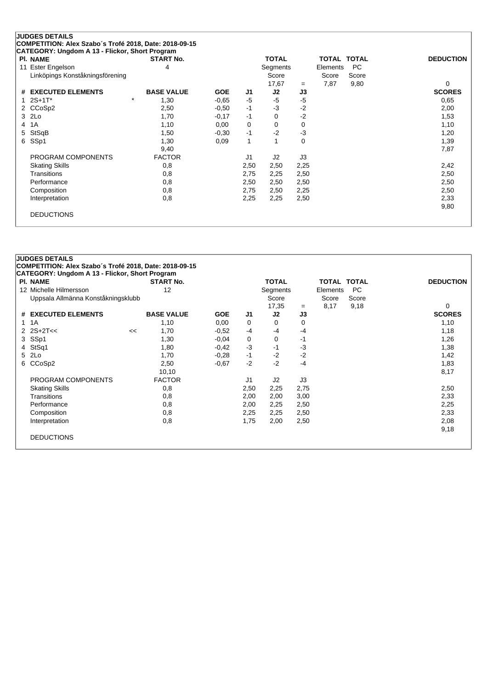| <b>PI. NAME</b>                 | <b>START No.</b>  |            |                | <b>TOTAL</b> |          | TOTAL    | <b>TOTAL</b> | <b>DEDUCTION</b> |
|---------------------------------|-------------------|------------|----------------|--------------|----------|----------|--------------|------------------|
| 11 Ester Engelson               | 4                 |            |                | Segments     |          | Elements | <b>PC</b>    |                  |
| Linköpings Konståkningsförening |                   |            |                | Score        |          | Score    | Score        |                  |
|                                 |                   |            |                | 17,67        | $=$      | 7,87     | 9,80         | 0                |
| # EXECUTED ELEMENTS             | <b>BASE VALUE</b> | <b>GOE</b> | J1             | J2           | J3       |          |              | <b>SCORES</b>    |
| $2S+1T^*$                       | $\star$<br>1,30   | $-0.65$    | $-5$           | $-5$         | $-5$     |          |              | 0.65             |
| 2 CCoSp2                        | 2,50              | $-0.50$    | $-1$           | $-3$         | $-2$     |          |              | 2,00             |
| 3 2Lo                           | 1,70              | $-0,17$    | $-1$           | 0            | $-2$     |          |              | 1,53             |
| 1A<br>4                         | 1,10              | 0,00       | 0              | $\Omega$     | 0        |          |              | 1,10             |
| StSqB<br>5                      | 1,50              | $-0.30$    | $-1$           | $-2$         | $-3$     |          |              | 1,20             |
| SSp1<br>6                       | 1,30              | 0,09       | 1              |              | $\Omega$ |          |              | 1,39             |
|                                 | 9,40              |            |                |              |          |          |              | 7,87             |
| PROGRAM COMPONENTS              | <b>FACTOR</b>     |            | J <sub>1</sub> | J2           | J3       |          |              |                  |
| <b>Skating Skills</b>           | 0,8               |            | 2,50           | 2,50         | 2,25     |          |              | 2,42             |
| Transitions                     | 0,8               |            | 2,75           | 2,25         | 2,50     |          |              | 2,50             |
| Performance                     | 0,8               |            | 2,50           | 2,50         | 2,50     |          |              | 2,50             |
| Composition                     | 0,8               |            | 2,75           | 2,50         | 2,25     |          |              | 2,50             |
| Interpretation                  | 0,8               |            | 2,25           | 2,25         | 2,50     |          |              | 2,33             |
|                                 |                   |            |                |              |          |          |              | 9,80             |

|   | CATEGORY: Ungdom A 13 - Flickor, Short Program |    |                   |            |                |              |      |                    |           |                  |
|---|------------------------------------------------|----|-------------------|------------|----------------|--------------|------|--------------------|-----------|------------------|
|   | <b>PI. NAME</b>                                |    | <b>START No.</b>  |            |                | <b>TOTAL</b> |      | <b>TOTAL TOTAL</b> |           | <b>DEDUCTION</b> |
|   | 12 Michelle Hilmersson                         |    | 12                |            |                | Segments     |      | Elements           | <b>PC</b> |                  |
|   | Uppsala Allmänna Konståkningsklubb             |    |                   |            |                | Score        |      | Score              | Score     |                  |
|   |                                                |    |                   |            |                | 17,35        | $=$  | 8,17               | 9,18      | 0                |
|   | # EXECUTED ELEMENTS                            |    | <b>BASE VALUE</b> | <b>GOE</b> | J <sub>1</sub> | J2           | J3   |                    |           | <b>SCORES</b>    |
|   | 1 1 A                                          |    | 1,10              | 0,00       | 0              | 0            | 0    |                    |           | 1,10             |
|   | $2$ $2S+2T<<$                                  | << | 1,70              | $-0.52$    | -4             | $-4$         | $-4$ |                    |           | 1,18             |
|   | 3 SSp1                                         |    | 1,30              | $-0.04$    | 0              | 0            | -1   |                    |           | 1,26             |
| 4 | StSq1                                          |    | 1,80              | $-0,42$    | $-3$           | -1           | $-3$ |                    |           | 1,38             |
|   | 5 2Lo                                          |    | 1,70              | $-0,28$    | $-1$           | $-2$         | $-2$ |                    |           | 1,42             |
| 6 | CCoSp2                                         |    | 2,50              | $-0.67$    | $-2$           | $-2$         | $-4$ |                    |           | 1,83             |
|   |                                                |    | 10,10             |            |                |              |      |                    |           | 8,17             |
|   | PROGRAM COMPONENTS                             |    | <b>FACTOR</b>     |            | J1             | J2           | J3   |                    |           |                  |
|   | <b>Skating Skills</b>                          |    | 0,8               |            | 2,50           | 2,25         | 2,75 |                    |           | 2,50             |
|   | Transitions                                    |    | 0,8               |            | 2,00           | 2,00         | 3,00 |                    |           | 2,33             |
|   | Performance                                    |    | 0,8               |            | 2,00           | 2,25         | 2,50 |                    |           | 2,25             |
|   | Composition                                    |    | 0,8               |            | 2,25           | 2,25         | 2,50 |                    |           | 2,33             |
|   | Interpretation                                 |    | 0,8               |            | 1,75           | 2,00         | 2,50 |                    |           | 2,08             |
|   |                                                |    |                   |            |                |              |      |                    |           | 9,18             |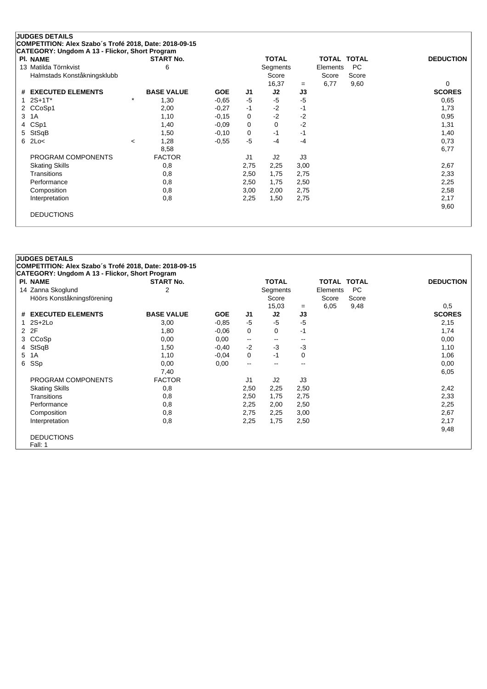| <b>PI. NAME</b>             |         | <b>START No.</b>  |            |                | <b>TOTAL</b> |      | TOTAL TOTAL |           | <b>DEDUCTION</b> |
|-----------------------------|---------|-------------------|------------|----------------|--------------|------|-------------|-----------|------------------|
| 13 Matilda Törnkvist        |         | 6                 |            |                | Segments     |      | Elements    | <b>PC</b> |                  |
| Halmstads Konståkningsklubb |         |                   |            |                | Score        |      | Score       | Score     |                  |
|                             |         |                   |            |                | 16,37        | $=$  | 6,77        | 9,60      | 0                |
| # EXECUTED ELEMENTS         |         | <b>BASE VALUE</b> | <b>GOE</b> | J1             | J2           | J3   |             |           | <b>SCORES</b>    |
| $2S+1T^*$                   | $\star$ | 1,30              | $-0.65$    | $-5$           | -5           | $-5$ |             |           | 0,65             |
| 2 CCoSp1                    |         | 2,00              | $-0,27$    | $-1$           | $-2$         | -1   |             |           | 1,73             |
| 3<br>1A                     |         | 1,10              | $-0.15$    | 0              | $-2$         | $-2$ |             |           | 0,95             |
| CS <sub>p1</sub><br>4       |         | 1,40              | $-0.09$    | 0              | $\Omega$     | $-2$ |             |           | 1,31             |
| StSqB<br>5.                 |         | 1,50              | $-0,10$    | 0              | $-1$         | $-1$ |             |           | 1,40             |
| 2Lo<<br>6                   | $\,<\,$ | 1,28              | $-0.55$    | $-5$           | $-4$         | $-4$ |             |           | 0,73             |
|                             |         | 8,58              |            |                |              |      |             |           | 6,77             |
| PROGRAM COMPONENTS          |         | <b>FACTOR</b>     |            | J <sub>1</sub> | J2           | J3   |             |           |                  |
| <b>Skating Skills</b>       |         | 0,8               |            | 2,75           | 2,25         | 3,00 |             |           | 2,67             |
| <b>Transitions</b>          |         | 0,8               |            | 2,50           | 1,75         | 2,75 |             |           | 2,33             |
| Performance                 |         | 0,8               |            | 2,50           | 1,75         | 2,50 |             |           | 2,25             |
| Composition                 |         | 0,8               |            | 3,00           | 2,00         | 2,75 |             |           | 2,58             |
| Interpretation              |         | 0,8               |            | 2,25           | 1,50         | 2,75 |             |           | 2,17             |
|                             |         |                   |            |                |              |      |             |           | 9,60             |

|    | <b>JUDGES DETAILS</b>                                  |                   |            |                          |                          |                          |             |       |                  |
|----|--------------------------------------------------------|-------------------|------------|--------------------------|--------------------------|--------------------------|-------------|-------|------------------|
|    | COMPETITION: Alex Szabo's Trofé 2018, Date: 2018-09-15 |                   |            |                          |                          |                          |             |       |                  |
|    | <b>CATEGORY: Ungdom A 13 - Flickor, Short Program</b>  |                   |            |                          |                          |                          |             |       |                  |
|    | <b>PI. NAME</b>                                        | <b>START No.</b>  |            |                          | <b>TOTAL</b>             |                          | TOTAL TOTAL |       | <b>DEDUCTION</b> |
|    | 14 Zanna Skoglund                                      | 2                 |            |                          | Segments                 |                          | Elements    | PC.   |                  |
|    | Höörs Konståkningsförening                             |                   |            |                          | Score                    |                          | Score       | Score |                  |
|    |                                                        |                   |            |                          | 15,03                    | $=$                      | 6,05        | 9,48  | 0.5              |
|    | # EXECUTED ELEMENTS                                    | <b>BASE VALUE</b> | <b>GOE</b> | J1                       | J2                       | J3                       |             |       | <b>SCORES</b>    |
| 1. | $2S+2Lo$                                               | 3,00              | $-0.85$    | $-5$                     | $-5$                     | $-5$                     |             |       | 2,15             |
|    | 2 2F                                                   | 1,80              | $-0.06$    | 0                        | $\Omega$                 | $-1$                     |             |       | 1,74             |
| 3. | CCoSp                                                  | 0,00              | 0,00       | $\overline{\phantom{a}}$ | $\overline{\phantom{a}}$ | $\overline{\phantom{a}}$ |             |       | 0,00             |
|    | 4 StSqB                                                | 1,50              | $-0,40$    | $-2$                     | $-3$                     | $-3$                     |             |       | 1,10             |
|    | 5 1A                                                   | 1,10              | $-0.04$    | 0                        | -1                       | 0                        |             |       | 1,06             |
| 6  | SSp                                                    | 0,00              | 0,00       | $\mathbf{u}$             |                          | $-$                      |             |       | 0,00             |
|    |                                                        | 7,40              |            |                          |                          |                          |             |       | 6,05             |
|    | PROGRAM COMPONENTS                                     | <b>FACTOR</b>     |            | J <sub>1</sub>           | J2                       | J3                       |             |       |                  |
|    | <b>Skating Skills</b>                                  | 0,8               |            | 2,50                     | 2,25                     | 2,50                     |             |       | 2,42             |
|    | Transitions                                            | 0,8               |            | 2,50                     | 1,75                     | 2,75                     |             |       | 2,33             |
|    | Performance                                            | 0,8               |            | 2,25                     | 2,00                     | 2,50                     |             |       | 2,25             |
|    | Composition                                            | 0,8               |            | 2,75                     | 2,25                     | 3,00                     |             |       | 2,67             |
|    | Interpretation                                         | 0,8               |            | 2,25                     | 1,75                     | 2,50                     |             |       | 2,17             |
|    |                                                        |                   |            |                          |                          |                          |             |       | 9,48             |
|    | <b>DEDUCTIONS</b>                                      |                   |            |                          |                          |                          |             |       |                  |
|    | Fall: 1                                                |                   |            |                          |                          |                          |             |       |                  |